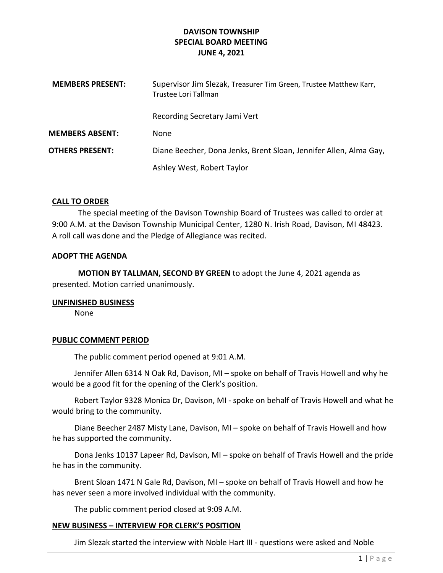# DAVISON TOWNSHIP SPECIAL BOARD MEETING JUNE 4, 2021

| <b>MEMBERS PRESENT:</b> | Supervisor Jim Slezak, Treasurer Tim Green, Trustee Matthew Karr,<br>Trustee Lori Tallman |
|-------------------------|-------------------------------------------------------------------------------------------|
|                         | Recording Secretary Jami Vert                                                             |
| <b>MEMBERS ABSENT:</b>  | None                                                                                      |
| <b>OTHERS PRESENT:</b>  | Diane Beecher, Dona Jenks, Brent Sloan, Jennifer Allen, Alma Gay,                         |
|                         | Ashley West, Robert Taylor                                                                |

## CALL TO ORDER

The special meeting of the Davison Township Board of Trustees was called to order at 9:00 A.M. at the Davison Township Municipal Center, 1280 N. Irish Road, Davison, MI 48423. A roll call was done and the Pledge of Allegiance was recited.

#### ADOPT THE AGENDA

MOTION BY TALLMAN, SECOND BY GREEN to adopt the June 4, 2021 agenda as presented. Motion carried unanimously.

#### UNFINISHED BUSINESS

None

#### PUBLIC COMMENT PERIOD

The public comment period opened at 9:01 A.M.

 Jennifer Allen 6314 N Oak Rd, Davison, MI – spoke on behalf of Travis Howell and why he would be a good fit for the opening of the Clerk's position.

 Robert Taylor 9328 Monica Dr, Davison, MI - spoke on behalf of Travis Howell and what he would bring to the community.

 Diane Beecher 2487 Misty Lane, Davison, MI – spoke on behalf of Travis Howell and how he has supported the community.

 Dona Jenks 10137 Lapeer Rd, Davison, MI – spoke on behalf of Travis Howell and the pride he has in the community.

 Brent Sloan 1471 N Gale Rd, Davison, MI – spoke on behalf of Travis Howell and how he has never seen a more involved individual with the community.

The public comment period closed at 9:09 A.M.

#### NEW BUSINESS – INTERVIEW FOR CLERK'S POSITION

Jim Slezak started the interview with Noble Hart III - questions were asked and Noble